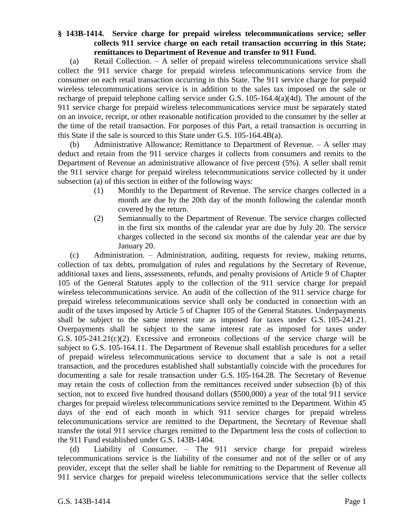## **§ 143B-1414. Service charge for prepaid wireless telecommunications service; seller collects 911 service charge on each retail transaction occurring in this State; remittances to Department of Revenue and transfer to 911 Fund.**

(a) Retail Collection. – A seller of prepaid wireless telecommunications service shall collect the 911 service charge for prepaid wireless telecommunications service from the consumer on each retail transaction occurring in this State. The 911 service charge for prepaid wireless telecommunications service is in addition to the sales tax imposed on the sale or recharge of prepaid telephone calling service under G.S. 105-164.4(a)(4d). The amount of the 911 service charge for prepaid wireless telecommunications service must be separately stated on an invoice, receipt, or other reasonable notification provided to the consumer by the seller at the time of the retail transaction. For purposes of this Part, a retail transaction is occurring in this State if the sale is sourced to this State under G.S. 105-164.4B(a).

(b) Administrative Allowance; Remittance to Department of Revenue. – A seller may deduct and retain from the 911 service charges it collects from consumers and remits to the Department of Revenue an administrative allowance of five percent (5%). A seller shall remit the 911 service charge for prepaid wireless telecommunications service collected by it under subsection (a) of this section in either of the following ways:

- (1) Monthly to the Department of Revenue. The service charges collected in a month are due by the 20th day of the month following the calendar month covered by the return.
- (2) Semiannually to the Department of Revenue. The service charges collected in the first six months of the calendar year are due by July 20. The service charges collected in the second six months of the calendar year are due by January 20.

(c) Administration. – Administration, auditing, requests for review, making returns, collection of tax debts, promulgation of rules and regulations by the Secretary of Revenue, additional taxes and liens, assessments, refunds, and penalty provisions of Article 9 of Chapter 105 of the General Statutes apply to the collection of the 911 service charge for prepaid wireless telecommunications service. An audit of the collection of the 911 service charge for prepaid wireless telecommunications service shall only be conducted in connection with an audit of the taxes imposed by Article 5 of Chapter 105 of the General Statutes. Underpayments shall be subject to the same interest rate as imposed for taxes under G.S. 105-241.21. Overpayments shall be subject to the same interest rate as imposed for taxes under G.S. 105-241.21(c)(2). Excessive and erroneous collections of the service charge will be subject to G.S. 105-164.11. The Department of Revenue shall establish procedures for a seller of prepaid wireless telecommunications service to document that a sale is not a retail transaction, and the procedures established shall substantially coincide with the procedures for documenting a sale for resale transaction under G.S. 105-164.28. The Secretary of Revenue may retain the costs of collection from the remittances received under subsection (b) of this section, not to exceed five hundred thousand dollars (\$500,000) a year of the total 911 service charges for prepaid wireless telecommunications service remitted to the Department. Within 45 days of the end of each month in which 911 service charges for prepaid wireless telecommunications service are remitted to the Department, the Secretary of Revenue shall transfer the total 911 service charges remitted to the Department less the costs of collection to the 911 Fund established under G.S. 143B-1404.

(d) Liability of Consumer. – The 911 service charge for prepaid wireless telecommunications service is the liability of the consumer and not of the seller or of any provider, except that the seller shall be liable for remitting to the Department of Revenue all 911 service charges for prepaid wireless telecommunications service that the seller collects